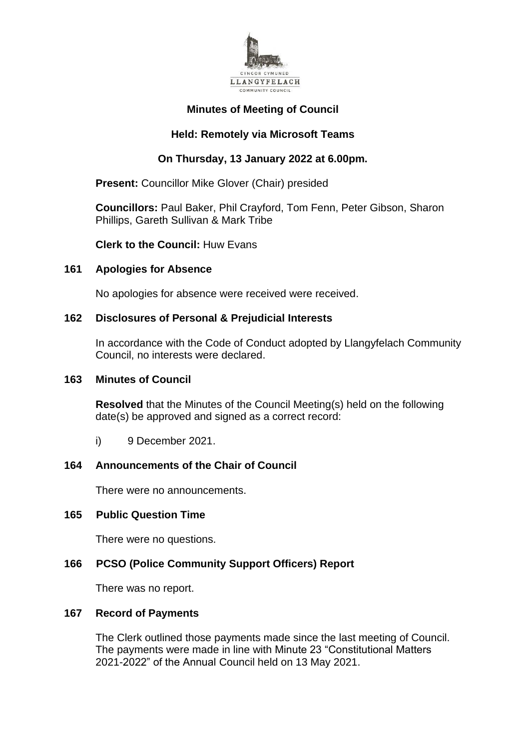

# **Minutes of Meeting of Council**

# **Held: Remotely via Microsoft Teams**

# **On Thursday, 13 January 2022 at 6.00pm.**

**Present:** Councillor Mike Glover (Chair) presided

**Councillors:** Paul Baker, Phil Crayford, Tom Fenn, Peter Gibson, Sharon Phillips, Gareth Sullivan & Mark Tribe

**Clerk to the Council:** Huw Evans

## **161 Apologies for Absence**

No apologies for absence were received were received.

## **162 Disclosures of Personal & Prejudicial Interests**

In accordance with the Code of Conduct adopted by Llangyfelach Community Council, no interests were declared.

#### **163 Minutes of Council**

**Resolved** that the Minutes of the Council Meeting(s) held on the following date(s) be approved and signed as a correct record:

i) 9 December 2021.

# **164 Announcements of the Chair of Council**

There were no announcements.

## **165 Public Question Time**

There were no questions.

## **166 PCSO (Police Community Support Officers) Report**

There was no report.

#### **167 Record of Payments**

The Clerk outlined those payments made since the last meeting of Council. The payments were made in line with Minute 23 "Constitutional Matters 2021-2022" of the Annual Council held on 13 May 2021.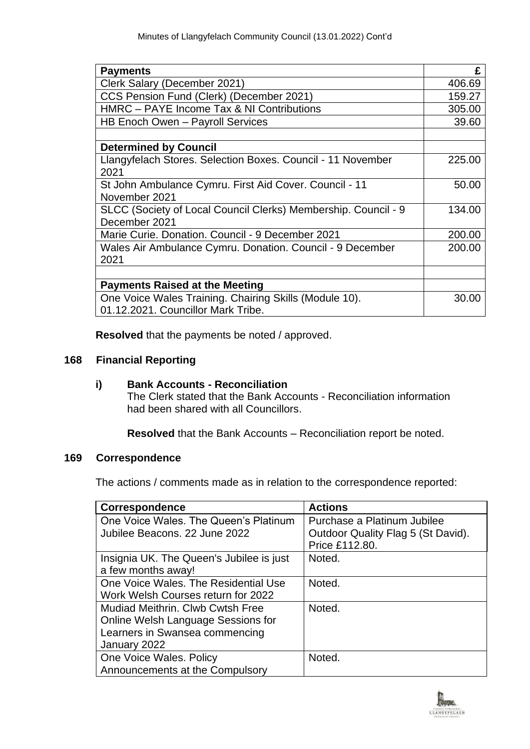| <b>Payments</b>                                                | £      |
|----------------------------------------------------------------|--------|
| Clerk Salary (December 2021)                                   | 406.69 |
| CCS Pension Fund (Clerk) (December 2021)                       | 159.27 |
| HMRC – PAYE Income Tax & NI Contributions                      | 305.00 |
| HB Enoch Owen - Payroll Services                               | 39.60  |
|                                                                |        |
| <b>Determined by Council</b>                                   |        |
| Llangyfelach Stores. Selection Boxes. Council - 11 November    | 225.00 |
| 2021                                                           |        |
| St John Ambulance Cymru. First Aid Cover. Council - 11         | 50.00  |
| November 2021                                                  |        |
| SLCC (Society of Local Council Clerks) Membership. Council - 9 | 134.00 |
| December 2021                                                  |        |
| Marie Curie, Donation, Council - 9 December 2021               | 200.00 |
| Wales Air Ambulance Cymru. Donation. Council - 9 December      | 200.00 |
| 2021                                                           |        |
|                                                                |        |
| <b>Payments Raised at the Meeting</b>                          |        |
| One Voice Wales Training. Chairing Skills (Module 10).         | 30.00  |
| 01.12.2021. Councillor Mark Tribe.                             |        |

**Resolved** that the payments be noted / approved.

# **168 Financial Reporting**

# **i) Bank Accounts - Reconciliation**

The Clerk stated that the Bank Accounts - Reconciliation information had been shared with all Councillors.

**Resolved** that the Bank Accounts – Reconciliation report be noted.

## **169 Correspondence**

The actions / comments made as in relation to the correspondence reported:

| Correspondence                           | <b>Actions</b>                     |
|------------------------------------------|------------------------------------|
| One Voice Wales. The Queen's Platinum    | Purchase a Platinum Jubilee        |
| Jubilee Beacons, 22 June 2022            | Outdoor Quality Flag 5 (St David). |
|                                          | Price £112.80.                     |
| Insignia UK. The Queen's Jubilee is just | Noted.                             |
| a few months away!                       |                                    |
| One Voice Wales. The Residential Use     | Noted.                             |
| Work Welsh Courses return for 2022       |                                    |
| Mudiad Meithrin, Clwb Cwtsh Free         | Noted.                             |
| Online Welsh Language Sessions for       |                                    |
| Learners in Swansea commencing           |                                    |
| January 2022                             |                                    |
| One Voice Wales. Policy                  | Noted.                             |
| Announcements at the Compulsory          |                                    |

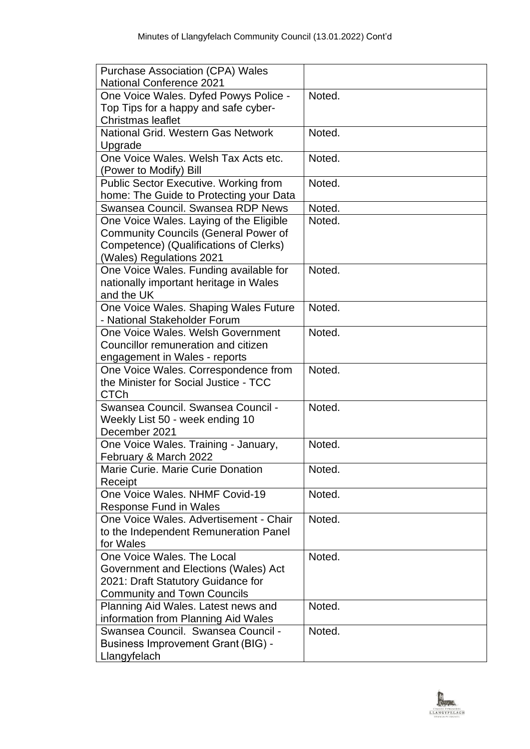| <b>Purchase Association (CPA) Wales</b>                                |        |
|------------------------------------------------------------------------|--------|
| <b>National Conference 2021</b>                                        |        |
| One Voice Wales. Dyfed Powys Police -                                  | Noted. |
| Top Tips for a happy and safe cyber-                                   |        |
| <b>Christmas leaflet</b>                                               |        |
| National Grid. Western Gas Network                                     | Noted. |
| Upgrade                                                                |        |
| One Voice Wales, Welsh Tax Acts etc.                                   | Noted. |
| (Power to Modify) Bill<br><b>Public Sector Executive. Working from</b> | Noted. |
| home: The Guide to Protecting your Data                                |        |
| Swansea Council. Swansea RDP News                                      | Noted. |
| One Voice Wales. Laying of the Eligible                                | Noted. |
| <b>Community Councils (General Power of</b>                            |        |
| Competence) (Qualifications of Clerks)                                 |        |
| (Wales) Regulations 2021                                               |        |
| One Voice Wales. Funding available for                                 | Noted. |
| nationally important heritage in Wales                                 |        |
| and the UK                                                             |        |
| One Voice Wales. Shaping Wales Future                                  | Noted. |
| - National Stakeholder Forum                                           |        |
| One Voice Wales, Welsh Government                                      | Noted. |
| Councillor remuneration and citizen                                    |        |
| engagement in Wales - reports                                          |        |
| One Voice Wales. Correspondence from                                   | Noted. |
| the Minister for Social Justice - TCC                                  |        |
| <b>CTCh</b>                                                            |        |
| Swansea Council. Swansea Council -                                     | Noted. |
| Weekly List 50 - week ending 10<br>December 2021                       |        |
|                                                                        | Noted. |
| One Voice Wales. Training - January,<br>February & March 2022          |        |
| Marie Curie, Marie Curie Donation                                      | Noted. |
| Receipt                                                                |        |
| One Voice Wales. NHMF Covid-19                                         | Noted. |
| Response Fund in Wales                                                 |        |
| One Voice Wales, Advertisement - Chair                                 | Noted. |
| to the Independent Remuneration Panel                                  |        |
| for Wales                                                              |        |
| One Voice Wales, The Local                                             | Noted. |
| Government and Elections (Wales) Act                                   |        |
| 2021: Draft Statutory Guidance for                                     |        |
| <b>Community and Town Councils</b>                                     |        |
| Planning Aid Wales. Latest news and                                    | Noted. |
| information from Planning Aid Wales                                    |        |
| Swansea Council. Swansea Council -                                     | Noted. |
| <b>Business Improvement Grant (BIG) -</b>                              |        |
| Llangyfelach                                                           |        |

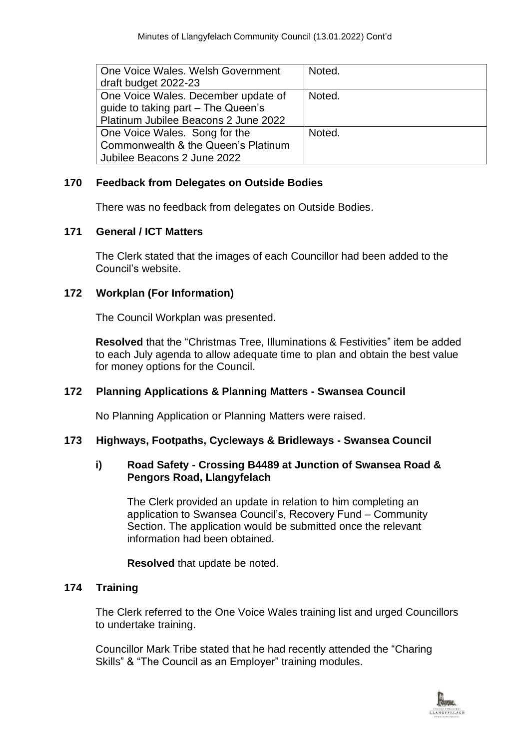| One Voice Wales, Welsh Government    | Noted. |
|--------------------------------------|--------|
| draft budget 2022-23                 |        |
| One Voice Wales. December update of  | Noted. |
| guide to taking part - The Queen's   |        |
| Platinum Jubilee Beacons 2 June 2022 |        |
| One Voice Wales. Song for the        | Noted. |
| Commonwealth & the Queen's Platinum  |        |
| Jubilee Beacons 2 June 2022          |        |

# **170 Feedback from Delegates on Outside Bodies**

There was no feedback from delegates on Outside Bodies.

## **171 General / ICT Matters**

The Clerk stated that the images of each Councillor had been added to the Council's website.

## **172 Workplan (For Information)**

The Council Workplan was presented.

**Resolved** that the "Christmas Tree, Illuminations & Festivities" item be added to each July agenda to allow adequate time to plan and obtain the best value for money options for the Council.

## **172 Planning Applications & Planning Matters - Swansea Council**

No Planning Application or Planning Matters were raised.

## **173 Highways, Footpaths, Cycleways & Bridleways - Swansea Council**

#### **i) Road Safety - Crossing B4489 at Junction of Swansea Road & Pengors Road, Llangyfelach**

The Clerk provided an update in relation to him completing an application to Swansea Council's, Recovery Fund – Community Section. The application would be submitted once the relevant information had been obtained.

**Resolved** that update be noted.

## **174 Training**

The Clerk referred to the One Voice Wales training list and urged Councillors to undertake training.

Councillor Mark Tribe stated that he had recently attended the "Charing Skills" & "The Council as an Employer" training modules.

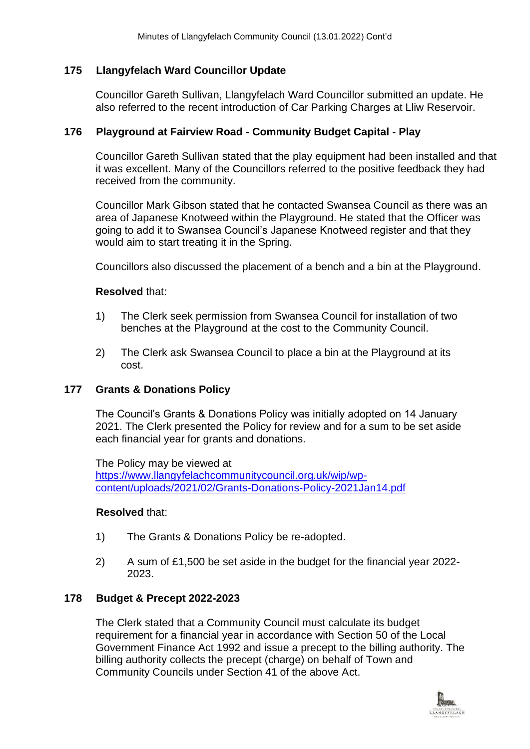## **175 Llangyfelach Ward Councillor Update**

Councillor Gareth Sullivan, Llangyfelach Ward Councillor submitted an update. He also referred to the recent introduction of Car Parking Charges at Lliw Reservoir.

#### **176 Playground at Fairview Road - Community Budget Capital - Play**

Councillor Gareth Sullivan stated that the play equipment had been installed and that it was excellent. Many of the Councillors referred to the positive feedback they had received from the community.

Councillor Mark Gibson stated that he contacted Swansea Council as there was an area of Japanese Knotweed within the Playground. He stated that the Officer was going to add it to Swansea Council's Japanese Knotweed register and that they would aim to start treating it in the Spring.

Councillors also discussed the placement of a bench and a bin at the Playground.

#### **Resolved** that:

- 1) The Clerk seek permission from Swansea Council for installation of two benches at the Playground at the cost to the Community Council.
- 2) The Clerk ask Swansea Council to place a bin at the Playground at its cost.

## **177 Grants & Donations Policy**

The Council's Grants & Donations Policy was initially adopted on 14 January 2021. The Clerk presented the Policy for review and for a sum to be set aside each financial year for grants and donations.

The Policy may be viewed at [https://www.llangyfelachcommunitycouncil.org.uk/wip/wp](https://www.llangyfelachcommunitycouncil.org.uk/wip/wp-content/uploads/2021/02/Grants-Donations-Policy-2021Jan14.pdf)[content/uploads/2021/02/Grants-Donations-Policy-2021Jan14.pdf](https://www.llangyfelachcommunitycouncil.org.uk/wip/wp-content/uploads/2021/02/Grants-Donations-Policy-2021Jan14.pdf)

#### **Resolved** that:

- 1) The Grants & Donations Policy be re-adopted.
- 2) A sum of £1,500 be set aside in the budget for the financial year 2022- 2023.

## **178 Budget & Precept 2022-2023**

The Clerk stated that a Community Council must calculate its budget requirement for a financial year in accordance with Section 50 of the Local Government Finance Act 1992 and issue a precept to the billing authority. The billing authority collects the precept (charge) on behalf of Town and Community Councils under Section 41 of the above Act.